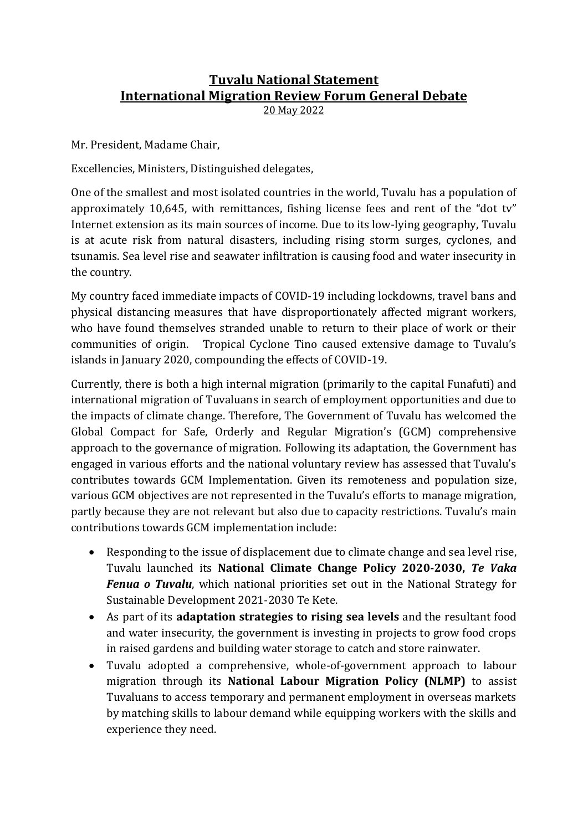## **Tuvalu National Statement International Migration Review Forum General Debate**

20 May 2022

Mr. President, Madame Chair,

Excellencies, Ministers, Distinguished delegates,

One of the smallest and most isolated countries in the world, Tuvalu has a population of approximately 10,645, with remittances, fishing license fees and rent of the "dot tv" Internet extension as its main sources of income. Due to its low-lying geography, Tuvalu is at acute risk from natural disasters, including rising storm surges, cyclones, and tsunamis. Sea level rise and seawater infiltration is causing food and water insecurity in the country.

My country faced immediate impacts of COVID-19 including lockdowns, travel bans and physical distancing measures that have disproportionately affected migrant workers, who have found themselves stranded unable to return to their place of work or their communities of origin. Tropical Cyclone Tino caused extensive damage to Tuvalu's islands in January 2020, compounding the effects of COVID-19.

Currently, there is both a high internal migration (primarily to the capital Funafuti) and international migration of Tuvaluans in search of employment opportunities and due to the impacts of climate change. Therefore, The Government of Tuvalu has welcomed the Global Compact for Safe, Orderly and Regular Migration's (GCM) comprehensive approach to the governance of migration. Following its adaptation, the Government has engaged in various efforts and the national voluntary review has assessed that Tuvalu's contributes towards GCM Implementation. Given its remoteness and population size, various GCM objectives are not represented in the Tuvalu's efforts to manage migration, partly because they are not relevant but also due to capacity restrictions. Tuvalu's main contributions towards GCM implementation include:

- Responding to the issue of displacement due to climate change and sea level rise, Tuvalu launched its **National Climate Change Policy 2020-2030,** *Te Vaka Fenua o Tuvalu*, which national priorities set out in the National Strategy for Sustainable Development 2021-2030 Te Kete.
- As part of its **adaptation strategies to rising sea levels** and the resultant food and water insecurity, the government is investing in projects to grow food crops in raised gardens and building water storage to catch and store rainwater.
- Tuvalu adopted a comprehensive, whole-of-government approach to labour migration through its **National Labour Migration Policy (NLMP)** to assist Tuvaluans to access temporary and permanent employment in overseas markets by matching skills to labour demand while equipping workers with the skills and experience they need.